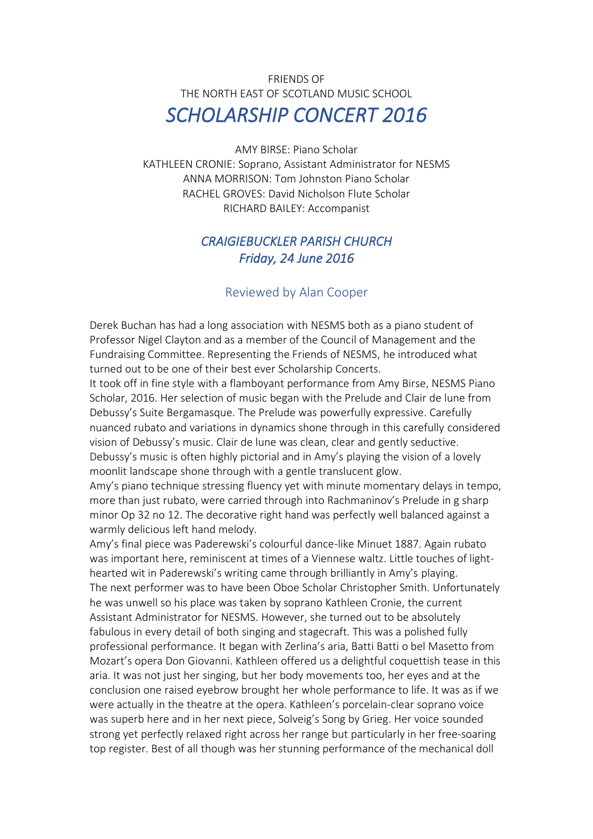## FRIENDS OF THE NORTH EAST OF SCOTLAND MUSIC SCHOOL *SCHOLARSHIP CONCERT 2016*

AMY BIRSE: Piano Scholar KATHLEEN CRONIE: Soprano, Assistant Administrator for NESMS ANNA MORRISON: Tom Johnston Piano Scholar RACHEL GROVES: David Nicholson Flute Scholar RICHARD BAILEY: Accompanist

## *CRAIGIEBUCKLER PARISH CHURCH Friday, 24 June 2016*

## Reviewed by Alan Cooper

Derek Buchan has had a long association with NESMS both as a piano student of Professor Nigel Clayton and as a member of the Council of Management and the Fundraising Committee. Representing the Friends of NESMS, he introduced what turned out to be one of their best ever Scholarship Concerts.

It took off in fine style with a flamboyant performance from Amy Birse, NESMS Piano Scholar, 2016. Her selection of music began with the Prelude and Clair de lune from Debussy's Suite Bergamasque. The Prelude was powerfully expressive. Carefully nuanced rubato and variations in dynamics shone through in this carefully considered vision of Debussy's music. Clair de lune was clean, clear and gently seductive. Debussy's music is often highly pictorial and in Amy's playing the vision of a lovely moonlit landscape shone through with a gentle translucent glow.

Amy's piano technique stressing fluency yet with minute momentary delays in tempo, more than just rubato, were carried through into Rachmaninov's Prelude in g sharp minor Op 32 no 12. The decorative right hand was perfectly well balanced against a warmly delicious left hand melody.

Amy's final piece was Paderewski's colourful dance-like Minuet 1887. Again rubato was important here, reminiscent at times of a Viennese waltz. Little touches of lighthearted wit in Paderewski's writing came through brilliantly in Amy's playing. The next performer was to have been Oboe Scholar Christopher Smith. Unfortunately he was unwell so his place was taken by soprano Kathleen Cronie, the current Assistant Administrator for NESMS. However, she turned out to be absolutely fabulous in every detail of both singing and stagecraft. This was a polished fully professional performance. It began with Zerlina's aria, Batti Batti o bel Masetto from Mozart's opera Don Giovanni. Kathleen offered us a delightful coquettish tease in this aria. It was not just her singing, but her body movements too, her eyes and at the conclusion one raised eyebrow brought her whole performance to life. It was as if we were actually in the theatre at the opera. Kathleen's porcelain-clear soprano voice was superb here and in her next piece, Solveig's Song by Grieg. Her voice sounded strong yet perfectly relaxed right across her range but particularly in her free-soaring top register. Best of all though was her stunning performance of the mechanical doll